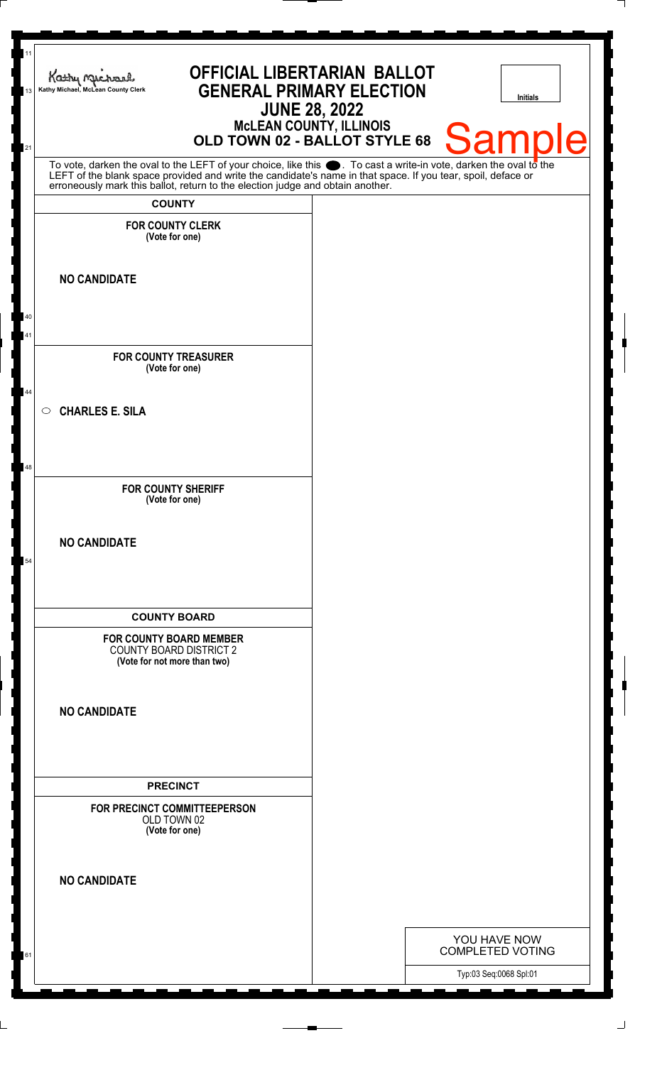| 11<br>13 | OFFICIAL LIBERTARIAN BALLOT<br>Kathy Michael<br><b>GENERAL PRIMARY ELECTION</b><br>Kathy Michael, McLean County Clerk<br><b>JUNE 28, 2022</b>                                                                                 |  | Initials                |
|----------|-------------------------------------------------------------------------------------------------------------------------------------------------------------------------------------------------------------------------------|--|-------------------------|
| 21       | <b>MCLEAN COUNTY, ILLINOIS</b><br>OLD TOWN 02 - BALLOT STYLE 68                                                                                                                                                               |  | <b>Sample</b>           |
|          | To vote, darken the oval to the LEFT of your choice, like this . To cast a write-in vote, darken the oval to the LEFT of the blank space provided and write the candidate's name in that space. If you tear, spoil, deface or |  |                         |
|          | <b>COUNTY</b>                                                                                                                                                                                                                 |  |                         |
|          | <b>FOR COUNTY CLERK</b><br>(Vote for one)                                                                                                                                                                                     |  |                         |
|          | <b>NO CANDIDATE</b>                                                                                                                                                                                                           |  |                         |
| 40       |                                                                                                                                                                                                                               |  |                         |
| 41       |                                                                                                                                                                                                                               |  |                         |
|          | <b>FOR COUNTY TREASURER</b><br>(Vote for one)                                                                                                                                                                                 |  |                         |
| 44       | <b>CHARLES E. SILA</b><br>$\circ$                                                                                                                                                                                             |  |                         |
|          |                                                                                                                                                                                                                               |  |                         |
| 48       | <b>FOR COUNTY SHERIFF</b>                                                                                                                                                                                                     |  |                         |
|          | (Vote for one)                                                                                                                                                                                                                |  |                         |
|          | <b>NO CANDIDATE</b>                                                                                                                                                                                                           |  |                         |
| 54       |                                                                                                                                                                                                                               |  |                         |
|          | <b>COUNTY BOARD</b>                                                                                                                                                                                                           |  |                         |
|          | <b>FOR COUNTY BOARD MEMBER</b><br><b>COUNTY BOARD DISTRICT 2</b><br>(Vote for not more than two)                                                                                                                              |  |                         |
|          | <b>NO CANDIDATE</b>                                                                                                                                                                                                           |  |                         |
|          | <b>PRECINCT</b>                                                                                                                                                                                                               |  |                         |
|          | FOR PRECINCT COMMITTEEPERSON<br>OLD TOWN 02<br>(Vote for one)                                                                                                                                                                 |  |                         |
|          | <b>NO CANDIDATE</b>                                                                                                                                                                                                           |  |                         |
|          |                                                                                                                                                                                                                               |  | YOU HAVE NOW            |
| 61       |                                                                                                                                                                                                                               |  | <b>COMPLETED VOTING</b> |
|          |                                                                                                                                                                                                                               |  | Typ:03 Seq:0068 Spl:01  |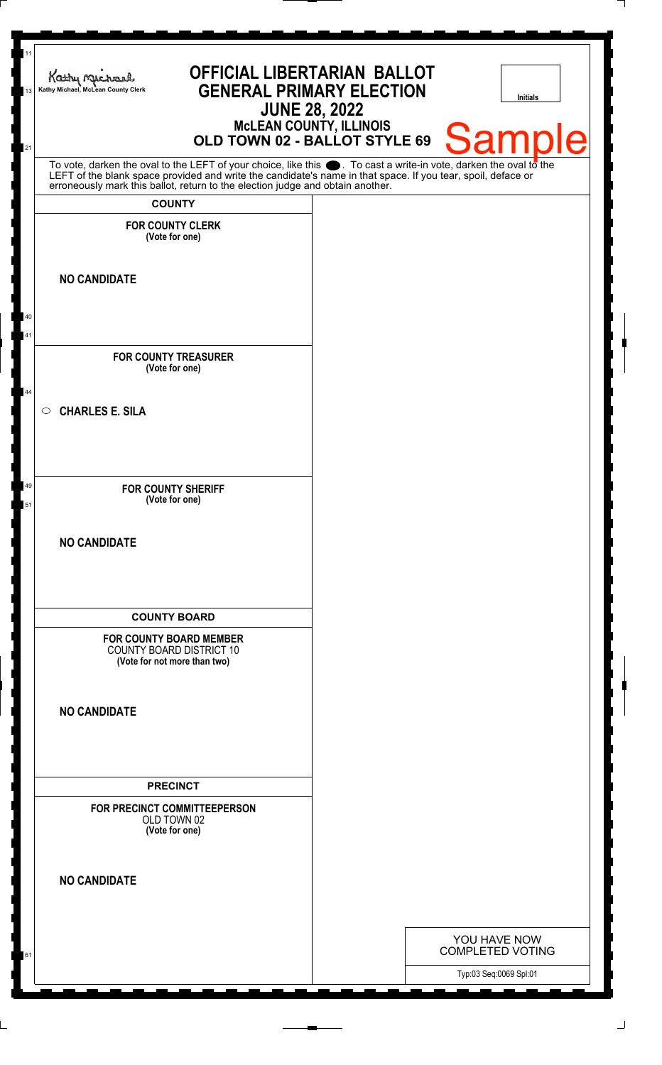| 11<br>13  | <b>OFFICIAL LIBERTARIAN BALLOT</b><br>Kathy Michael<br><b>GENERAL PRIMARY ELECTION</b><br>Kathy Michael, McLean County Clerk<br><b>JUNE 28, 2022</b>                                                                          |  | Initials                                |
|-----------|-------------------------------------------------------------------------------------------------------------------------------------------------------------------------------------------------------------------------------|--|-----------------------------------------|
| 21        | <b>MCLEAN COUNTY, ILLINOIS</b><br>OLD TOWN 02 - BALLOT STYLE 69                                                                                                                                                               |  | <b>Sample</b>                           |
|           | To vote, darken the oval to the LEFT of your choice, like this . To cast a write-in vote, darken the oval to the LEFT of the blank space provided and write the candidate's name in that space. If you tear, spoil, deface or |  |                                         |
|           | <b>COUNTY</b>                                                                                                                                                                                                                 |  |                                         |
|           | <b>FOR COUNTY CLERK</b><br>(Vote for one)                                                                                                                                                                                     |  |                                         |
|           | <b>NO CANDIDATE</b>                                                                                                                                                                                                           |  |                                         |
| 40<br>41  |                                                                                                                                                                                                                               |  |                                         |
|           | <b>FOR COUNTY TREASURER</b><br>(Vote for one)                                                                                                                                                                                 |  |                                         |
| 44        | <b>CHARLES E. SILA</b><br>$\circ$                                                                                                                                                                                             |  |                                         |
| -49<br>51 | <b>FOR COUNTY SHERIFF</b><br>(Vote for one)                                                                                                                                                                                   |  |                                         |
|           | <b>NO CANDIDATE</b>                                                                                                                                                                                                           |  |                                         |
|           | <b>COUNTY BOARD</b><br><b>FOR COUNTY BOARD MEMBER</b><br><b>COUNTY BOARD DISTRICT 10</b><br>(Vote for not more than two)                                                                                                      |  |                                         |
|           | <b>NO CANDIDATE</b>                                                                                                                                                                                                           |  |                                         |
|           | <b>PRECINCT</b>                                                                                                                                                                                                               |  |                                         |
|           | FOR PRECINCT COMMITTEEPERSON<br>OLD TOWN 02<br>(Vote for one)                                                                                                                                                                 |  |                                         |
|           | <b>NO CANDIDATE</b>                                                                                                                                                                                                           |  |                                         |
|           |                                                                                                                                                                                                                               |  |                                         |
| 61        |                                                                                                                                                                                                                               |  | YOU HAVE NOW<br><b>COMPLETED VOTING</b> |
|           |                                                                                                                                                                                                                               |  | Typ:03 Seq:0069 Spl:01                  |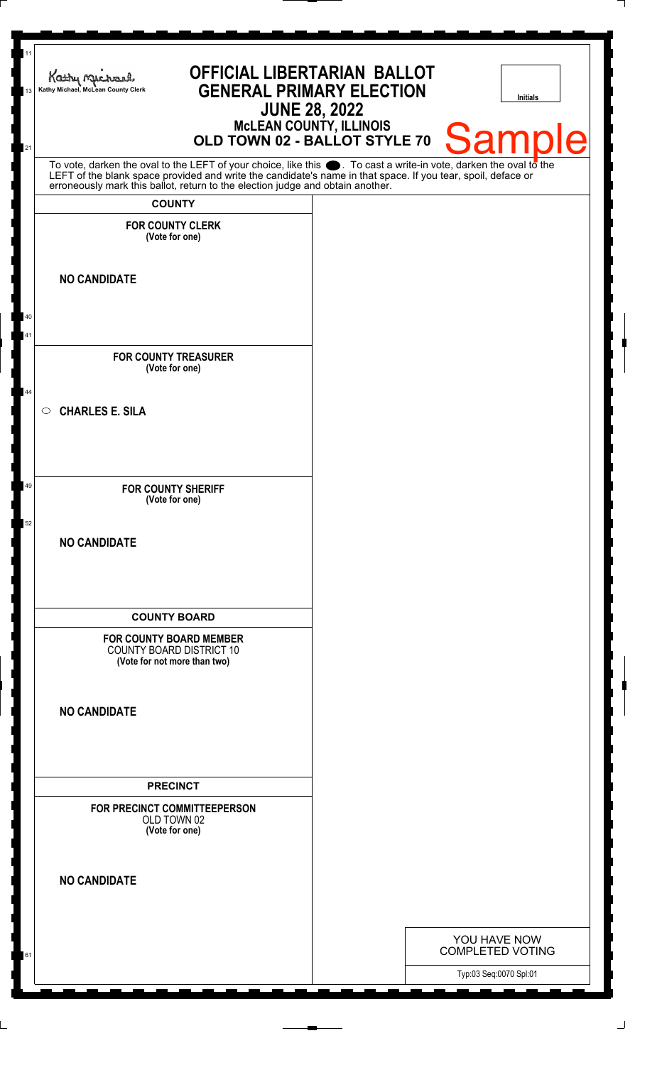| 11<br>13 | <b>OFFICIAL LIBERTARIAN BALLOT</b><br>Kathy Michael<br><b>GENERAL PRIMARY ELECTION</b><br>Kathy Michael, McLean County Clerk<br><b>JUNE 28, 2022</b>                                                                                                                                                                                    | Initials                                          |
|----------|-----------------------------------------------------------------------------------------------------------------------------------------------------------------------------------------------------------------------------------------------------------------------------------------------------------------------------------------|---------------------------------------------------|
| 21       | <b>MCLEAN COUNTY, ILLINOIS</b><br>OLD TOWN 02 - BALLOT STYLE 70                                                                                                                                                                                                                                                                         | Sampl<br>Ie                                       |
|          | To vote, darken the oval to the LEFT of your choice, like this $\bullet$ . To cast a write-in vote, darken the oval to the LEFT of the blank space provided and write the candidate's name in that space. If you tear, spoil, deface<br>erroneously mark this ballot, return to the election judge and obtain another.<br><b>COUNTY</b> |                                                   |
|          | <b>FOR COUNTY CLERK</b><br>(Vote for one)                                                                                                                                                                                                                                                                                               |                                                   |
|          | <b>NO CANDIDATE</b>                                                                                                                                                                                                                                                                                                                     |                                                   |
| 40<br>41 |                                                                                                                                                                                                                                                                                                                                         |                                                   |
| 44       | <b>FOR COUNTY TREASURER</b><br>(Vote for one)                                                                                                                                                                                                                                                                                           |                                                   |
|          | <b>CHARLES E. SILA</b><br>$\circ$                                                                                                                                                                                                                                                                                                       |                                                   |
| 49       | <b>FOR COUNTY SHERIFF</b><br>(Vote for one)                                                                                                                                                                                                                                                                                             |                                                   |
| 52       | <b>NO CANDIDATE</b>                                                                                                                                                                                                                                                                                                                     |                                                   |
|          | <b>COUNTY BOARD</b>                                                                                                                                                                                                                                                                                                                     |                                                   |
|          | <b>FOR COUNTY BOARD MEMBER</b><br><b>COUNTY BOARD DISTRICT 10</b><br>(Vote for not more than two)                                                                                                                                                                                                                                       |                                                   |
|          | <b>NO CANDIDATE</b>                                                                                                                                                                                                                                                                                                                     |                                                   |
|          | <b>PRECINCT</b>                                                                                                                                                                                                                                                                                                                         |                                                   |
|          | FOR PRECINCT COMMITTEEPERSON<br>OLD TOWN 02<br>(Vote for one)                                                                                                                                                                                                                                                                           |                                                   |
|          | <b>NO CANDIDATE</b>                                                                                                                                                                                                                                                                                                                     |                                                   |
|          |                                                                                                                                                                                                                                                                                                                                         | YOU HAVE NOW                                      |
| 61       |                                                                                                                                                                                                                                                                                                                                         | <b>COMPLETED VOTING</b><br>Typ:03 Seq:0070 Spl:01 |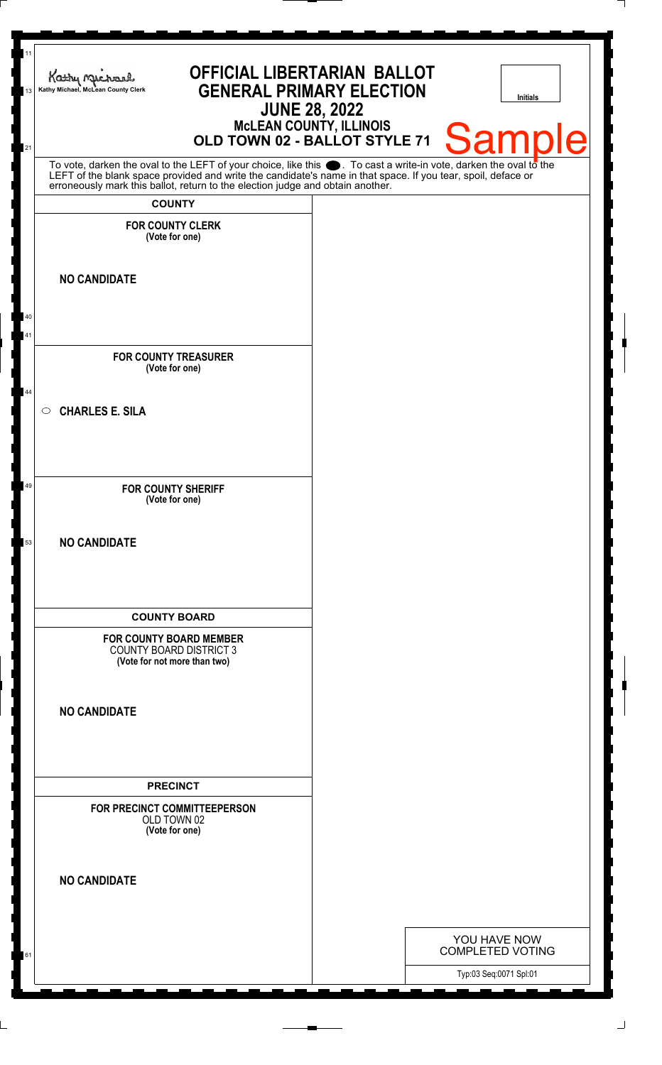| 11<br>13 | <b>OFFICIAL LIBERTARIAN BALLOT</b><br>Kathy Michael<br><b>GENERAL PRIMARY ELECTION</b><br>Kathy Michael, McLean County Clerk                                                                                                  | <b>JUNE 28, 2022</b>           | <b>Initials</b>                         |
|----------|-------------------------------------------------------------------------------------------------------------------------------------------------------------------------------------------------------------------------------|--------------------------------|-----------------------------------------|
| 21       | OLD TOWN 02 - BALLOT STYLE 71                                                                                                                                                                                                 | <b>MCLEAN COUNTY, ILLINOIS</b> | <b>Sample</b>                           |
|          | To vote, darken the oval to the LEFT of your choice, like this . To cast a write-in vote, darken the oval to the LEFT of the blank space provided and write the candidate's name in that space. If you tear, spoil, deface or |                                |                                         |
|          | <b>COUNTY</b>                                                                                                                                                                                                                 |                                |                                         |
|          | <b>FOR COUNTY CLERK</b><br>(Vote for one)                                                                                                                                                                                     |                                |                                         |
|          | <b>NO CANDIDATE</b>                                                                                                                                                                                                           |                                |                                         |
| 40<br>41 |                                                                                                                                                                                                                               |                                |                                         |
|          | <b>FOR COUNTY TREASURER</b><br>(Vote for one)                                                                                                                                                                                 |                                |                                         |
| 44       | <b>CHARLES E. SILA</b><br>$\circ$                                                                                                                                                                                             |                                |                                         |
| 49       | <b>FOR COUNTY SHERIFF</b><br>(Vote for one)                                                                                                                                                                                   |                                |                                         |
| 53       | <b>NO CANDIDATE</b>                                                                                                                                                                                                           |                                |                                         |
|          | <b>COUNTY BOARD</b>                                                                                                                                                                                                           |                                |                                         |
|          | <b>FOR COUNTY BOARD MEMBER</b><br><b>COUNTY BOARD DISTRICT 3</b><br>(Vote for not more than two)                                                                                                                              |                                |                                         |
|          | <b>NO CANDIDATE</b>                                                                                                                                                                                                           |                                |                                         |
|          | <b>PRECINCT</b>                                                                                                                                                                                                               |                                |                                         |
|          | FOR PRECINCT COMMITTEEPERSON<br>OLD TOWN 02<br>(Vote for one)                                                                                                                                                                 |                                |                                         |
|          | <b>NO CANDIDATE</b>                                                                                                                                                                                                           |                                |                                         |
|          |                                                                                                                                                                                                                               |                                |                                         |
| 61       |                                                                                                                                                                                                                               |                                | YOU HAVE NOW<br><b>COMPLETED VOTING</b> |
|          |                                                                                                                                                                                                                               |                                | Typ:03 Seq:0071 Spl:01                  |